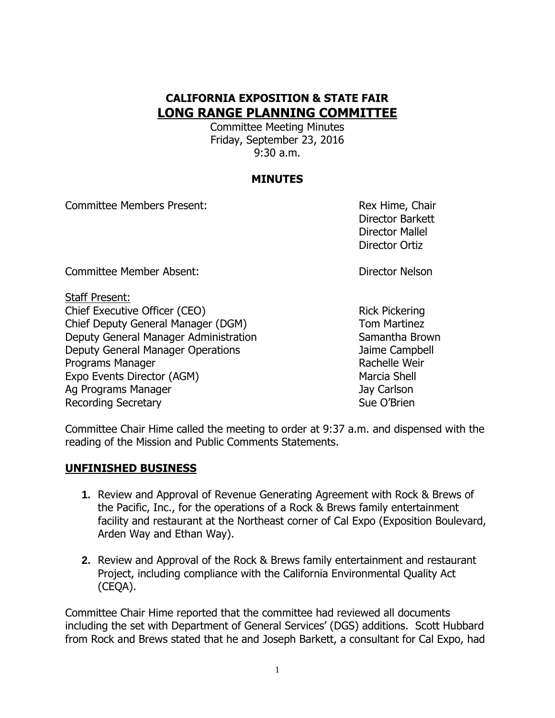# **CALIFORNIA EXPOSITION & STATE FAIR LONG RANGE PLANNING COMMITTEE**

Committee Meeting Minutes Friday, September 23, 2016 9:30 a.m.

## **MINUTES**

Committee Members Present: Rex Hime, Chair

Director Barkett Director Mallel Director Ortiz

Committee Member Absent: Director Nelson

Staff Present:

Chief Executive Officer (CEO) Solution Chief Executive Officer (CEO) Chief Deputy General Manager (DGM) Tom Martinez Deputy General Manager Administration Samantha Brown Deputy General Manager Operations Jaime Campbell Programs Manager **Rachelle Weir** Rachelle Weir Expo Events Director (AGM) Marcia Shell Ag Programs Manager Jay Carlson Jay Carlson Recording Secretary **Sue O'Brien** Sue O'Brien

Committee Chair Hime called the meeting to order at 9:37 a.m. and dispensed with the reading of the Mission and Public Comments Statements.

# **UNFINISHED BUSINESS**

- **1.** Review and Approval of Revenue Generating Agreement with Rock & Brews of the Pacific, Inc., for the operations of a Rock & Brews family entertainment facility and restaurant at the Northeast corner of Cal Expo (Exposition Boulevard, Arden Way and Ethan Way).
- **2.** Review and Approval of the Rock & Brews family entertainment and restaurant Project, including compliance with the California Environmental Quality Act (CEQA).

Committee Chair Hime reported that the committee had reviewed all documents including the set with Department of General Services' (DGS) additions. Scott Hubbard from Rock and Brews stated that he and Joseph Barkett, a consultant for Cal Expo, had